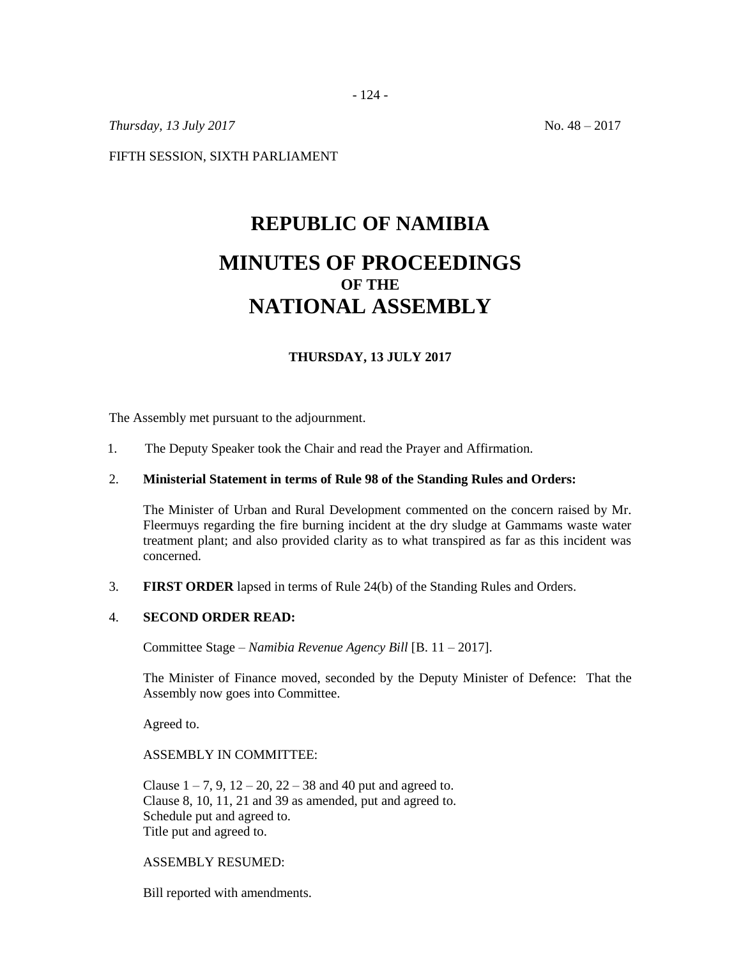- 124 -

*Thursday, 13 July 2017* No. 48 – 2017

FIFTH SESSION, SIXTH PARLIAMENT

# **REPUBLIC OF NAMIBIA MINUTES OF PROCEEDINGS OF THE NATIONAL ASSEMBLY**

# **THURSDAY, 13 JULY 2017**

The Assembly met pursuant to the adjournment.

1. The Deputy Speaker took the Chair and read the Prayer and Affirmation.

#### 2. **Ministerial Statement in terms of Rule 98 of the Standing Rules and Orders:**

The Minister of Urban and Rural Development commented on the concern raised by Mr. Fleermuys regarding the fire burning incident at the dry sludge at Gammams waste water treatment plant; and also provided clarity as to what transpired as far as this incident was concerned.

3. **FIRST ORDER** lapsed in terms of Rule 24(b) of the Standing Rules and Orders.

#### 4. **SECOND ORDER READ:**

Committee Stage – *Namibia Revenue Agency Bill* [B. 11 – 2017].

The Minister of Finance moved, seconded by the Deputy Minister of Defence: That the Assembly now goes into Committee.

Agreed to.

ASSEMBLY IN COMMITTEE:

Clause  $1 - 7$ , 9,  $12 - 20$ ,  $22 - 38$  and 40 put and agreed to. Clause 8, 10, 11, 21 and 39 as amended, put and agreed to. Schedule put and agreed to. Title put and agreed to.

## ASSEMBLY RESUMED:

Bill reported with amendments.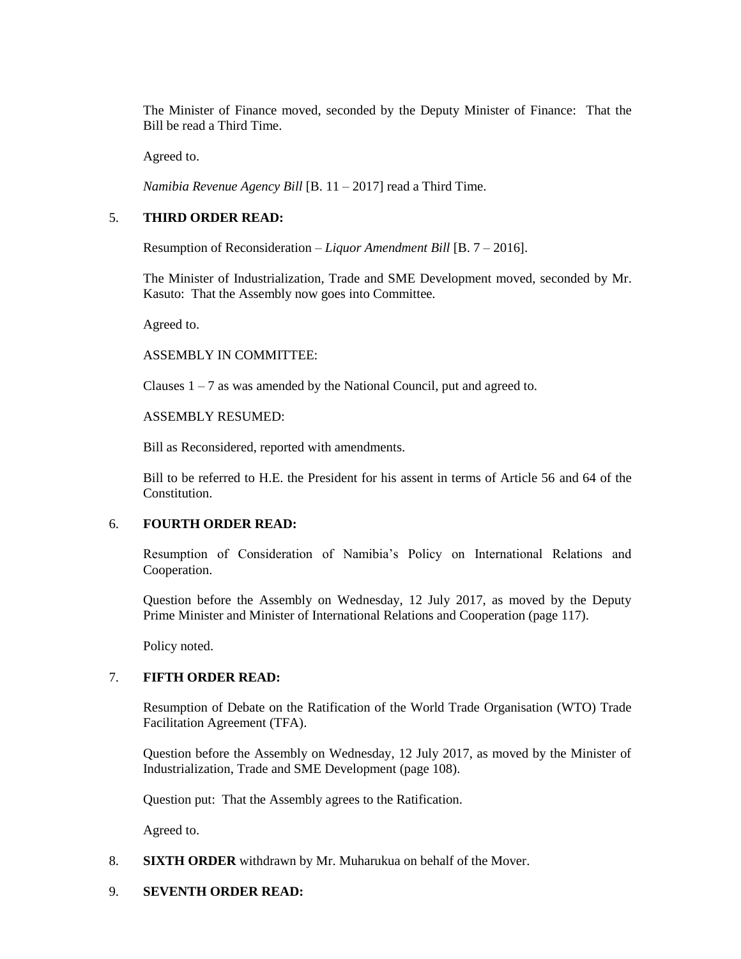The Minister of Finance moved, seconded by the Deputy Minister of Finance: That the Bill be read a Third Time.

Agreed to.

*Namibia Revenue Agency Bill* [B. 11 – 2017] read a Third Time.

# 5. **THIRD ORDER READ:**

Resumption of Reconsideration – *Liquor Amendment Bill* [B. 7 – 2016].

The Minister of Industrialization, Trade and SME Development moved, seconded by Mr. Kasuto: That the Assembly now goes into Committee.

Agreed to.

## ASSEMBLY IN COMMITTEE:

Clauses  $1 - 7$  as was amended by the National Council, put and agreed to.

## ASSEMBLY RESUMED:

Bill as Reconsidered, reported with amendments.

Bill to be referred to H.E. the President for his assent in terms of Article 56 and 64 of the Constitution.

#### 6. **FOURTH ORDER READ:**

Resumption of Consideration of Namibia's Policy on International Relations and Cooperation.

Question before the Assembly on Wednesday, 12 July 2017, as moved by the Deputy Prime Minister and Minister of International Relations and Cooperation (page 117).

Policy noted.

# 7. **FIFTH ORDER READ:**

Resumption of Debate on the Ratification of the World Trade Organisation (WTO) Trade Facilitation Agreement (TFA).

Question before the Assembly on Wednesday, 12 July 2017, as moved by the Minister of Industrialization, Trade and SME Development (page 108).

Question put: That the Assembly agrees to the Ratification.

Agreed to.

# 8. **SIXTH ORDER** withdrawn by Mr. Muharukua on behalf of the Mover.

# 9. **SEVENTH ORDER READ:**